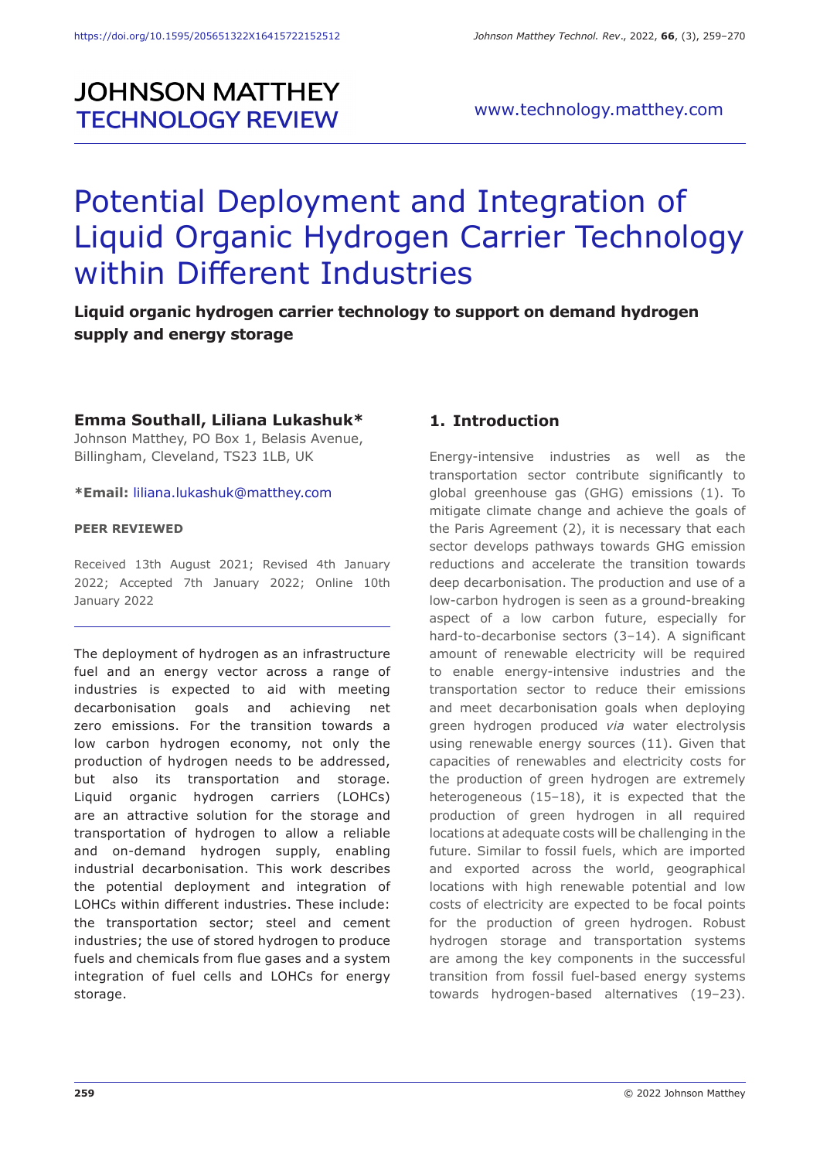# **JOHNSON MATTHEY TECHNOLOGY REVIEW**

# Potential Deployment and Integration of Liquid Organic Hydrogen Carrier Technology within Different Industries

## **Liquid organic hydrogen carrier technology to support on demand hydrogen supply and energy storage**

#### **Emma Southall, Liliana Lukashuk\***

Johnson Matthey, PO Box 1, Belasis Avenue, Billingham, Cleveland, TS23 1LB, UK

#### **\*Email:** liliana.lukashuk@matthey.com

#### **PEER REVIEWED**

Received 13th August 2021; Revised 4th January 2022; Accepted 7th January 2022; Online 10th January 2022

The deployment of hydrogen as an infrastructure fuel and an energy vector across a range of industries is expected to aid with meeting decarbonisation goals and achieving net zero emissions. For the transition towards a low carbon hydrogen economy, not only the production of hydrogen needs to be addressed, but also its transportation and storage. Liquid organic hydrogen carriers (LOHCs) are an attractive solution for the storage and transportation of hydrogen to allow a reliable and on-demand hydrogen supply, enabling industrial decarbonisation. This work describes the potential deployment and integration of LOHCs within different industries. These include: the transportation sector; steel and cement industries; the use of stored hydrogen to produce fuels and chemicals from flue gases and a system integration of fuel cells and LOHCs for energy storage.

#### **1. Introduction**

Energy-intensive industries as well as the transportation sector contribute significantly to global greenhouse gas (GHG) emissions (1). To mitigate climate change and achieve the goals of the Paris Agreement (2), it is necessary that each sector develops pathways towards GHG emission reductions and accelerate the transition towards deep decarbonisation. The production and use of a low-carbon hydrogen is seen as a ground-breaking aspect of a low carbon future, especially for hard-to-decarbonise sectors (3–14). A significant amount of renewable electricity will be required to enable energy-intensive industries and the transportation sector to reduce their emissions and meet decarbonisation goals when deploying green hydrogen produced *via* water electrolysis using renewable energy sources (11). Given that capacities of renewables and electricity costs for the production of green hydrogen are extremely heterogeneous (15–18), it is expected that the production of green hydrogen in all required locations at adequate costs will be challenging in the future. Similar to fossil fuels, which are imported and exported across the world, geographical locations with high renewable potential and low costs of electricity are expected to be focal points for the production of green hydrogen. Robust hydrogen storage and transportation systems are among the key components in the successful transition from fossil fuel-based energy systems towards hydrogen-based alternatives (19–23).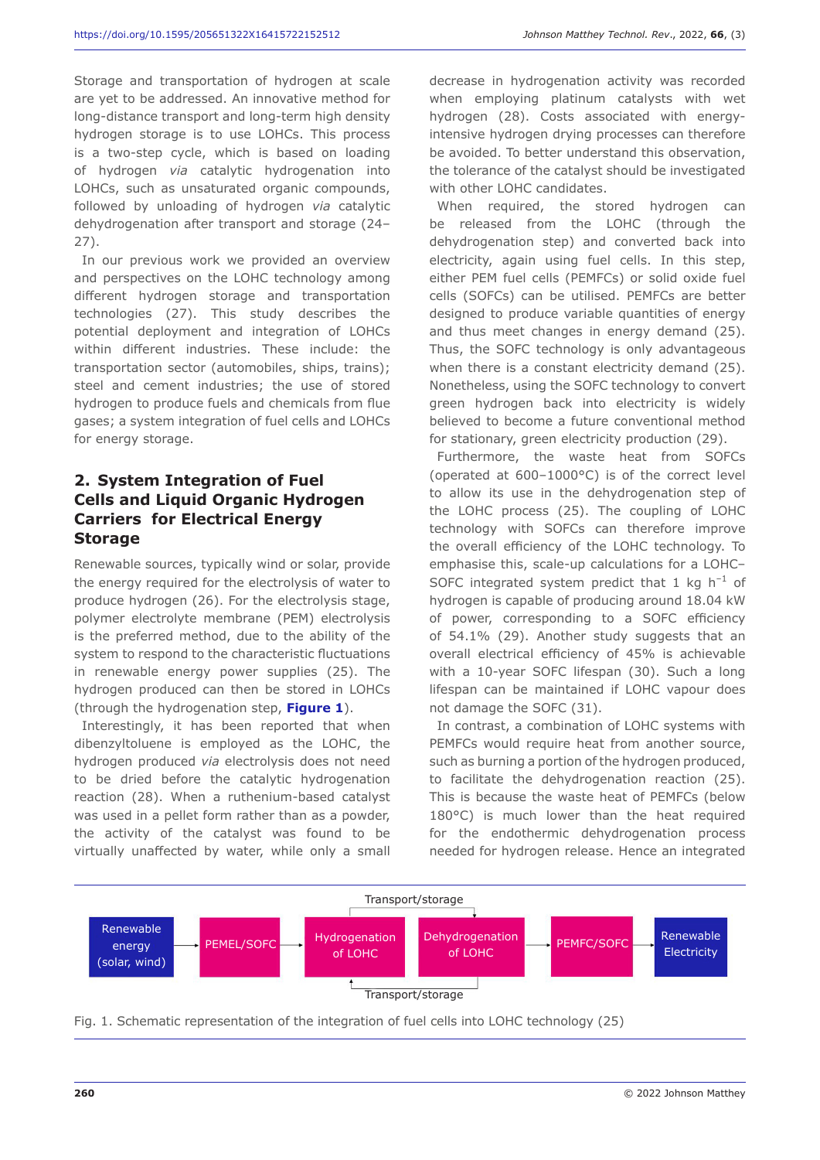Storage and transportation of hydrogen at scale are yet to be addressed. An innovative method for long-distance transport and long-term high density hydrogen storage is to use LOHCs. This process is a two-step cycle, which is based on loading of hydrogen *via* catalytic hydrogenation into LOHCs, such as unsaturated organic compounds, followed by unloading of hydrogen *via* catalytic dehydrogenation after transport and storage (24– 27).

In our previous work we provided an overview and perspectives on the LOHC technology among different hydrogen storage and transportation technologies (27). This study describes the potential deployment and integration of LOHCs within different industries. These include: the transportation sector (automobiles, ships, trains); steel and cement industries; the use of stored hydrogen to produce fuels and chemicals from flue gases; a system integration of fuel cells and LOHCs for energy storage.

#### **2. System Integration of Fuel Cells and Liquid Organic Hydrogen Carriers for Electrical Energy Storage**

Renewable sources, typically wind or solar, provide the energy required for the electrolysis of water to produce hydrogen (26). For the electrolysis stage, polymer electrolyte membrane (PEM) electrolysis is the preferred method, due to the ability of the system to respond to the characteristic fluctuations in renewable energy power supplies (25). The hydrogen produced can then be stored in LOHCs (through the hydrogenation step, **Figure 1**).

Interestingly, it has been reported that when dibenzyltoluene is employed as the LOHC, the hydrogen produced *via* electrolysis does not need to be dried before the catalytic hydrogenation reaction (28). When a ruthenium-based catalyst was used in a pellet form rather than as a powder, the activity of the catalyst was found to be virtually unaffected by water, while only a small

decrease in hydrogenation activity was recorded when employing platinum catalysts with wet hydrogen (28). Costs associated with energyintensive hydrogen drying processes can therefore be avoided. To better understand this observation, the tolerance of the catalyst should be investigated with other LOHC candidates.

When required, the stored hydrogen can be released from the LOHC (through the dehydrogenation step) and converted back into electricity, again using fuel cells. In this step, either PEM fuel cells (PEMFCs) or solid oxide fuel cells (SOFCs) can be utilised. PEMFCs are better designed to produce variable quantities of energy and thus meet changes in energy demand (25). Thus, the SOFC technology is only advantageous when there is a constant electricity demand (25). Nonetheless, using the SOFC technology to convert green hydrogen back into electricity is widely believed to become a future conventional method for stationary, green electricity production (29).

Furthermore, the waste heat from SOFCs (operated at 600–1000°C) is of the correct level to allow its use in the dehydrogenation step of the LOHC process (25). The coupling of LOHC technology with SOFCs can therefore improve the overall efficiency of the LOHC technology. To emphasise this, scale-up calculations for a LOHC– SOFC integrated system predict that 1 kg  $h^{-1}$  of hydrogen is capable of producing around 18.04 kW of power, corresponding to a SOFC efficiency of 54.1% (29). Another study suggests that an overall electrical efficiency of 45% is achievable with a 10-year SOFC lifespan (30). Such a long lifespan can be maintained if LOHC vapour does not damage the SOFC (31).

In contrast, a combination of LOHC systems with PEMFCs would require heat from another source, such as burning a portion of the hydrogen produced, to facilitate the dehydrogenation reaction (25). This is because the waste heat of PEMFCs (below 180°C) is much lower than the heat required for the endothermic dehydrogenation process needed for hydrogen release. Hence an integrated



Fig. 1. Schematic representation of the integration of fuel cells into LOHC technology (25)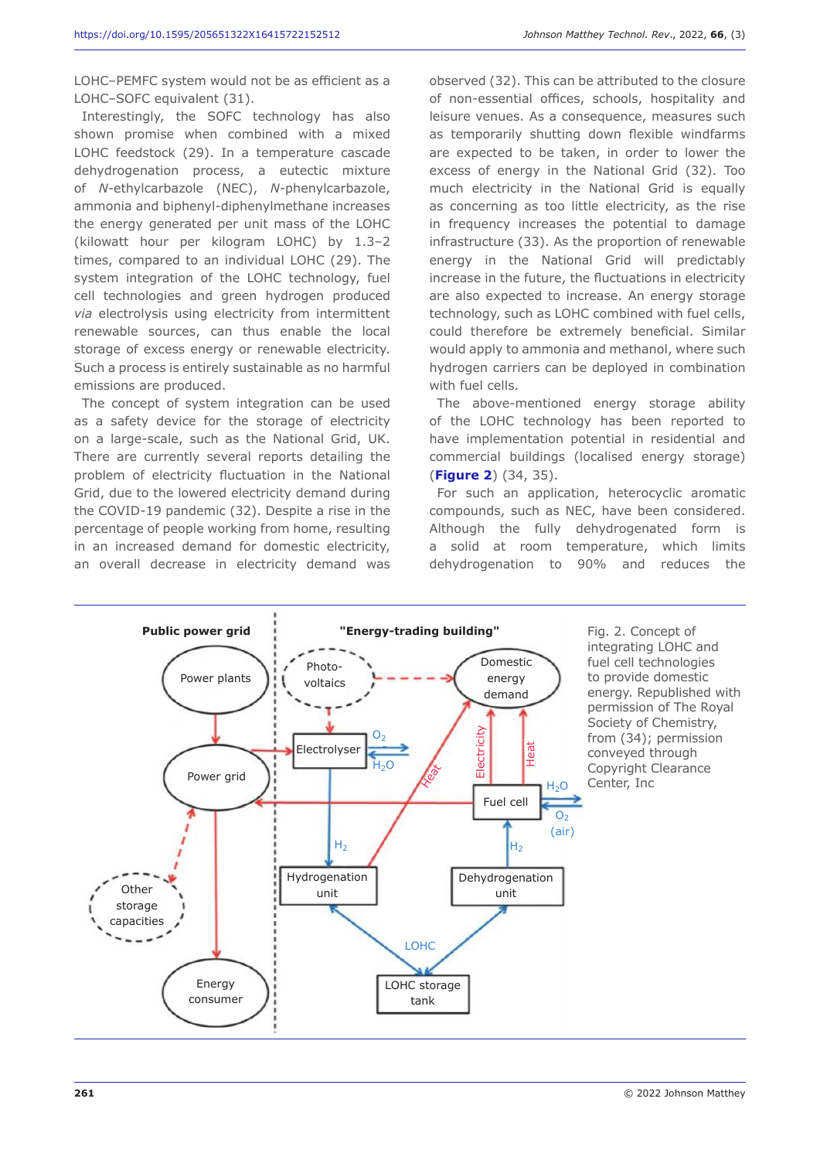LOHC–PEMFC system would not be as efficient as a LOHC–SOFC equivalent (31).

Interestingly, the SOFC technology has also shown promise when combined with a mixed LOHC feedstock (29). In a temperature cascade dehydrogenation process, a eutectic mixture of *N*-ethylcarbazole (NEC), *N-*phenylcarbazole, ammonia and biphenyl-diphenylmethane increases the energy generated per unit mass of the LOHC (kilowatt hour per kilogram LOHC) by 1.3–2 times, compared to an individual LOHC (29). The system integration of the LOHC technology, fuel cell technologies and green hydrogen produced *via* electrolysis using electricity from intermittent renewable sources, can thus enable the local storage of excess energy or renewable electricity. Such a process is entirely sustainable as no harmful emissions are produced.

The concept of system integration can be used as a safety device for the storage of electricity on a large-scale, such as the National Grid, UK. There are currently several reports detailing the problem of electricity fluctuation in the National Grid, due to the lowered electricity demand during the COVID-19 pandemic (32). Despite a rise in the percentage of people working from home, resulting in an increased demand for domestic electricity, an overall decrease in electricity demand was

observed (32). This can be attributed to the closure of non-essential offices, schools, hospitality and leisure venues. As a consequence, measures such as temporarily shutting down flexible windfarms are expected to be taken, in order to lower the excess of energy in the National Grid (32). Too much electricity in the National Grid is equally as concerning as too little electricity, as the rise in frequency increases the potential to damage infrastructure (33). As the proportion of renewable energy in the National Grid will predictably increase in the future, the fluctuations in electricity are also expected to increase. An energy storage technology, such as LOHC combined with fuel cells, could therefore be extremely beneficial. Similar would apply to ammonia and methanol, where such hydrogen carriers can be deployed in combination with fuel cells.

The above-mentioned energy storage ability of the LOHC technology has been reported to have implementation potential in residential and commercial buildings (localised energy storage) (**Figure 2**) (34, 35).

For such an application, heterocyclic aromatic compounds, such as NEC, have been considered. Although the fully dehydrogenated form is a solid at room temperature, which limits dehydrogenation to 90% and reduces the



Fig. 2. Concept of integrating LOHC and fuel cell technologies to provide domestic energy. Republished with permission of The Royal Society of Chemistry, from (34); permission conveyed through Copyright Clearance Center, Inc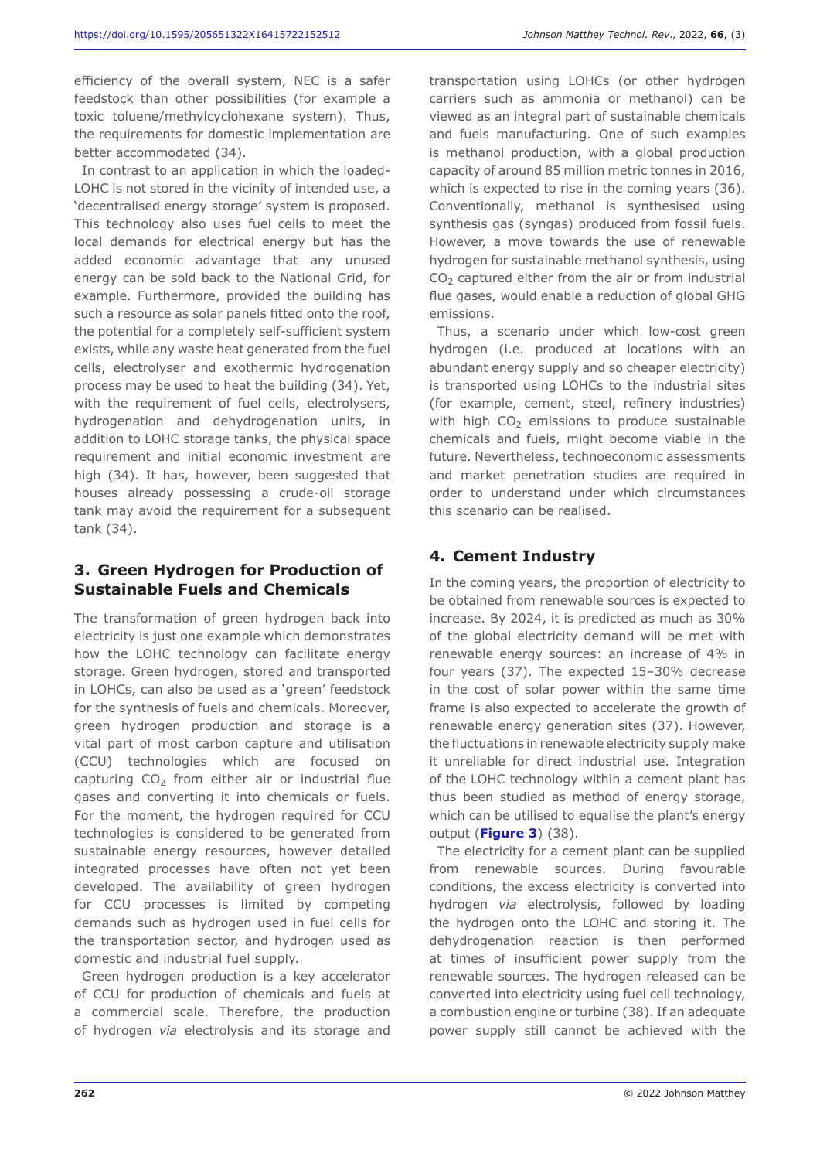efficiency of the overall system, NEC is a safer feedstock than other possibilities (for example a toxic toluene/methylcyclohexane system). Thus, the requirements for domestic implementation are better accommodated (34).

In contrast to an application in which the loaded-LOHC is not stored in the vicinity of intended use, a 'decentralised energy storage' system is proposed. This technology also uses fuel cells to meet the local demands for electrical energy but has the added economic advantage that any unused energy can be sold back to the National Grid, for example. Furthermore, provided the building has such a resource as solar panels fitted onto the roof, the potential for a completely self-sufficient system exists, while any waste heat generated from the fuel cells, electrolyser and exothermic hydrogenation process may be used to heat the building (34). Yet, with the requirement of fuel cells, electrolysers, hydrogenation and dehydrogenation units, in addition to LOHC storage tanks, the physical space requirement and initial economic investment are high (34). It has, however, been suggested that houses already possessing a crude-oil storage tank may avoid the requirement for a subsequent tank (34).

### **3. Green Hydrogen for Production of Sustainable Fuels and Chemicals**

The transformation of green hydrogen back into electricity is just one example which demonstrates how the LOHC technology can facilitate energy storage. Green hydrogen, stored and transported in LOHCs, can also be used as a 'green' feedstock for the synthesis of fuels and chemicals. Moreover, green hydrogen production and storage is a vital part of most carbon capture and utilisation (CCU) technologies which are focused on capturing  $CO<sub>2</sub>$  from either air or industrial flue gases and converting it into chemicals or fuels. For the moment, the hydrogen required for CCU technologies is considered to be generated from sustainable energy resources, however detailed integrated processes have often not yet been developed. The availability of green hydrogen for CCU processes is limited by competing demands such as hydrogen used in fuel cells for the transportation sector, and hydrogen used as domestic and industrial fuel supply.

Green hydrogen production is a key accelerator of CCU for production of chemicals and fuels at a commercial scale. Therefore, the production of hydrogen *via* electrolysis and its storage and

transportation using LOHCs (or other hydrogen carriers such as ammonia or methanol) can be viewed as an integral part of sustainable chemicals and fuels manufacturing. One of such examples is methanol production, with a global production capacity of around 85 million metric tonnes in 2016, which is expected to rise in the coming years (36). Conventionally, methanol is synthesised using synthesis gas (syngas) produced from fossil fuels. However, a move towards the use of renewable hydrogen for sustainable methanol synthesis, using  $CO<sub>2</sub>$  captured either from the air or from industrial flue gases, would enable a reduction of global GHG emissions.

Thus, a scenario under which low-cost green hydrogen (i.e. produced at locations with an abundant energy supply and so cheaper electricity) is transported using LOHCs to the industrial sites (for example, cement, steel, refinery industries) with high  $CO<sub>2</sub>$  emissions to produce sustainable chemicals and fuels, might become viable in the future. Nevertheless, technoeconomic assessments and market penetration studies are required in order to understand under which circumstances this scenario can be realised.

### **4. Cement Industry**

In the coming years, the proportion of electricity to be obtained from renewable sources is expected to increase. By 2024, it is predicted as much as 30% of the global electricity demand will be met with renewable energy sources: an increase of 4% in four years (37). The expected 15–30% decrease in the cost of solar power within the same time frame is also expected to accelerate the growth of renewable energy generation sites (37). However, the fluctuations in renewable electricity supply make it unreliable for direct industrial use. Integration of the LOHC technology within a cement plant has thus been studied as method of energy storage, which can be utilised to equalise the plant's energy output (**Figure 3**) (38).

The electricity for a cement plant can be supplied from renewable sources. During favourable conditions, the excess electricity is converted into hydrogen *via* electrolysis, followed by loading the hydrogen onto the LOHC and storing it. The dehydrogenation reaction is then performed at times of insufficient power supply from the renewable sources. The hydrogen released can be converted into electricity using fuel cell technology, a combustion engine or turbine (38). If an adequate power supply still cannot be achieved with the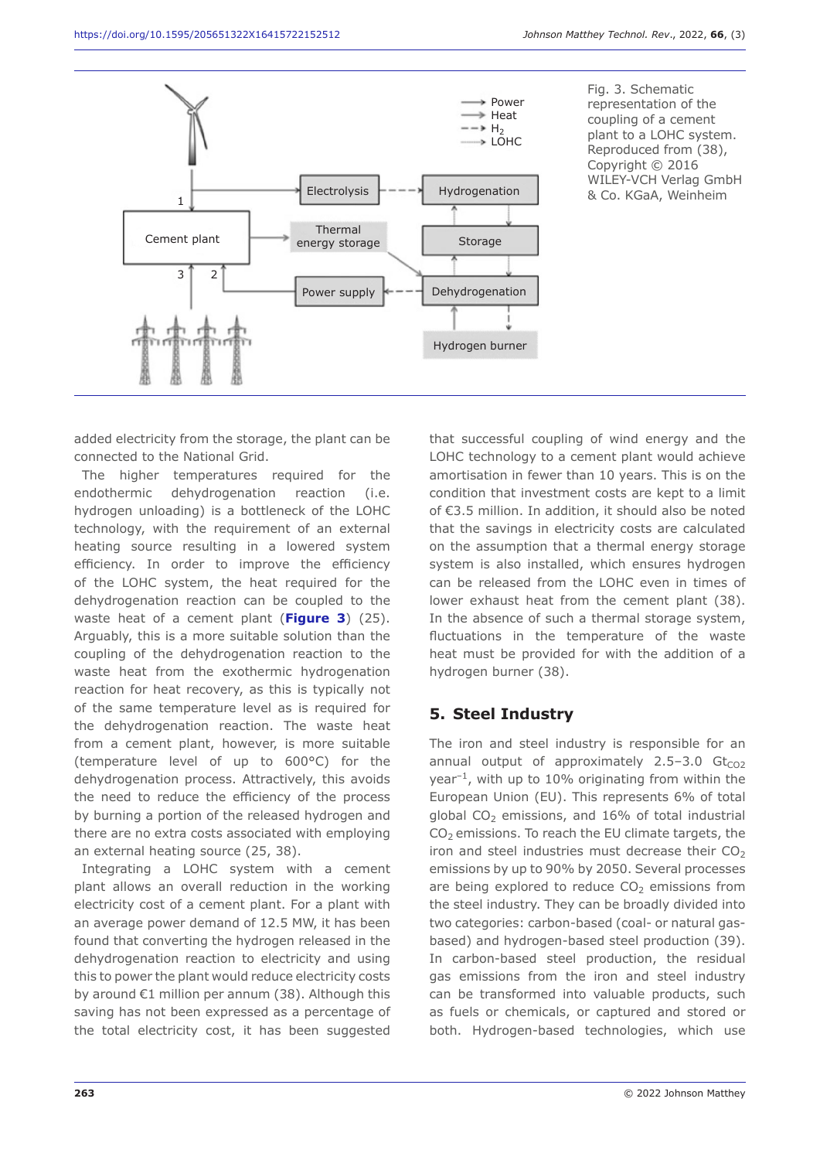

added electricity from the storage, the plant can be connected to the National Grid.

The higher temperatures required for the endothermic dehydrogenation reaction (i.e. hydrogen unloading) is a bottleneck of the LOHC technology, with the requirement of an external heating source resulting in a lowered system efficiency. In order to improve the efficiency of the LOHC system, the heat required for the dehydrogenation reaction can be coupled to the waste heat of a cement plant (**Figure 3**) (25). Arguably, this is a more suitable solution than the coupling of the dehydrogenation reaction to the waste heat from the exothermic hydrogenation reaction for heat recovery, as this is typically not of the same temperature level as is required for the dehydrogenation reaction. The waste heat from a cement plant, however, is more suitable (temperature level of up to 600°C) for the dehydrogenation process. Attractively, this avoids the need to reduce the efficiency of the process by burning a portion of the released hydrogen and there are no extra costs associated with employing an external heating source (25, 38).

Integrating a LOHC system with a cement plant allows an overall reduction in the working electricity cost of a cement plant. For a plant with an average power demand of 12.5 MW, it has been found that converting the hydrogen released in the dehydrogenation reaction to electricity and using this to power the plant would reduce electricity costs by around €1 million per annum (38). Although this saving has not been expressed as a percentage of the total electricity cost, it has been suggested

that successful coupling of wind energy and the LOHC technology to a cement plant would achieve amortisation in fewer than 10 years. This is on the condition that investment costs are kept to a limit of €3.5 million. In addition, it should also be noted that the savings in electricity costs are calculated on the assumption that a thermal energy storage system is also installed, which ensures hydrogen can be released from the LOHC even in times of lower exhaust heat from the cement plant (38). In the absence of such a thermal storage system, fluctuations in the temperature of the waste heat must be provided for with the addition of a hydrogen burner (38).

### **5. Steel Industry**

The iron and steel industry is responsible for an annual output of approximately  $2.5-3.0$  Gt $_{CO2}$ year $^{-1}$ , with up to 10% originating from within the European Union (EU). This represents 6% of total global  $CO<sub>2</sub>$  emissions, and 16% of total industrial  $CO<sub>2</sub>$  emissions. To reach the EU climate targets, the iron and steel industries must decrease their  $CO<sub>2</sub>$ emissions by up to 90% by 2050. Several processes are being explored to reduce  $CO<sub>2</sub>$  emissions from the steel industry. They can be broadly divided into two categories: carbon-based (coal- or natural gasbased) and hydrogen-based steel production (39). In carbon-based steel production, the residual gas emissions from the iron and steel industry can be transformed into valuable products, such as fuels or chemicals, or captured and stored or both. Hydrogen-based technologies, which use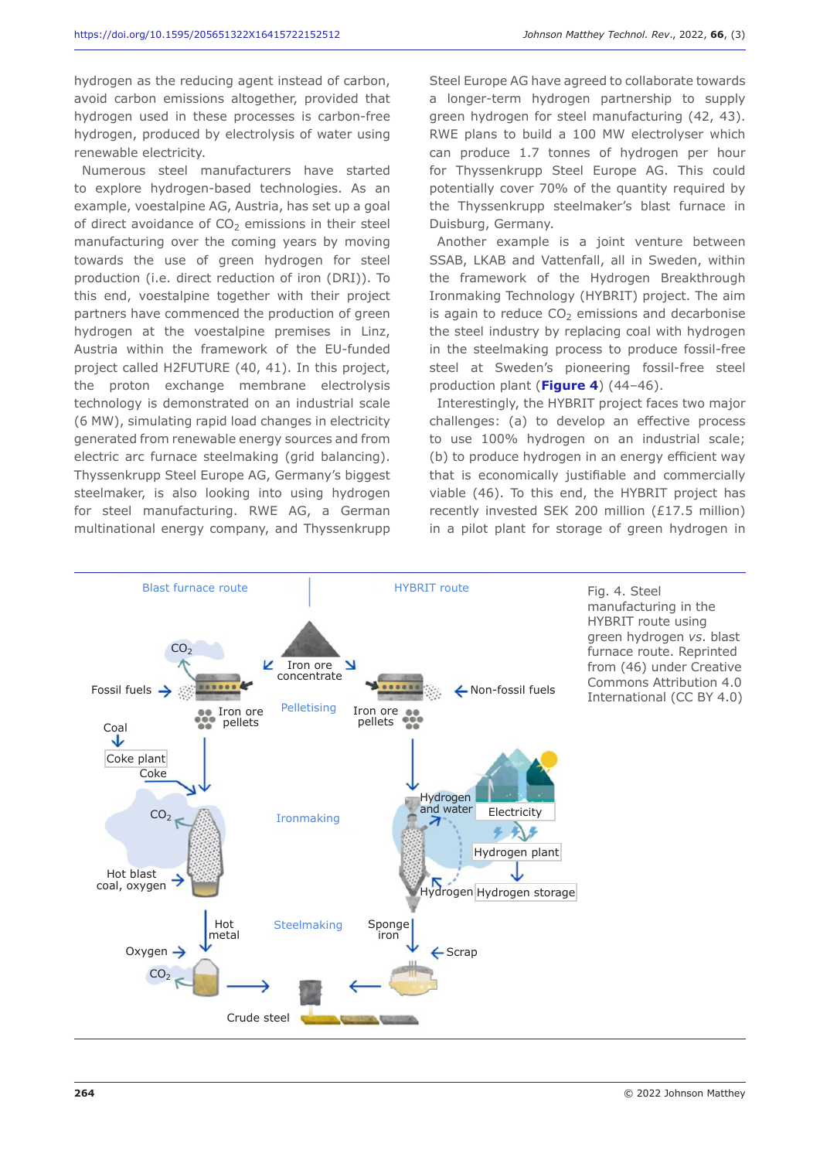hydrogen as the reducing agent instead of carbon, avoid carbon emissions altogether, provided that hydrogen used in these processes is carbon-free hydrogen, produced by electrolysis of water using renewable electricity.

Numerous steel manufacturers have started to explore hydrogen-based technologies. As an example, voestalpine AG, Austria, has set up a goal of direct avoidance of  $CO<sub>2</sub>$  emissions in their steel manufacturing over the coming years by moving towards the use of green hydrogen for steel production (i.e. direct reduction of iron (DRI)). To this end, voestalpine together with their project partners have commenced the production of green hydrogen at the voestalpine premises in Linz, Austria within the framework of the EU-funded project called H2FUTURE (40, 41). In this project, the proton exchange membrane electrolysis technology is demonstrated on an industrial scale (6 MW), simulating rapid load changes in electricity generated from renewable energy sources and from electric arc furnace steelmaking (grid balancing). Thyssenkrupp Steel Europe AG, Germany's biggest steelmaker, is also looking into using hydrogen for steel manufacturing. RWE AG, a German multinational energy company, and Thyssenkrupp

Steel Europe AG have agreed to collaborate towards a longer-term hydrogen partnership to supply green hydrogen for steel manufacturing (42, 43). RWE plans to build a 100 MW electrolyser which can produce 1.7 tonnes of hydrogen per hour for Thyssenkrupp Steel Europe AG. This could potentially cover 70% of the quantity required by the Thyssenkrupp steelmaker's blast furnace in Duisburg, Germany.

Another example is a joint venture between SSAB, LKAB and Vattenfall, all in Sweden, within the framework of the Hydrogen Breakthrough Ironmaking Technology (HYBRIT) project. The aim is again to reduce  $CO<sub>2</sub>$  emissions and decarbonise the steel industry by replacing coal with hydrogen in the steelmaking process to produce fossil-free steel at Sweden's pioneering fossil-free steel production plant (**Figure 4**) (44–46).

Interestingly, the HYBRIT project faces two major challenges: (a) to develop an effective process to use 100% hydrogen on an industrial scale; (b) to produce hydrogen in an energy efficient way that is economically justifiable and commercially viable (46). To this end, the HYBRIT project has recently invested SEK 200 million (£17.5 million) in a pilot plant for storage of green hydrogen in

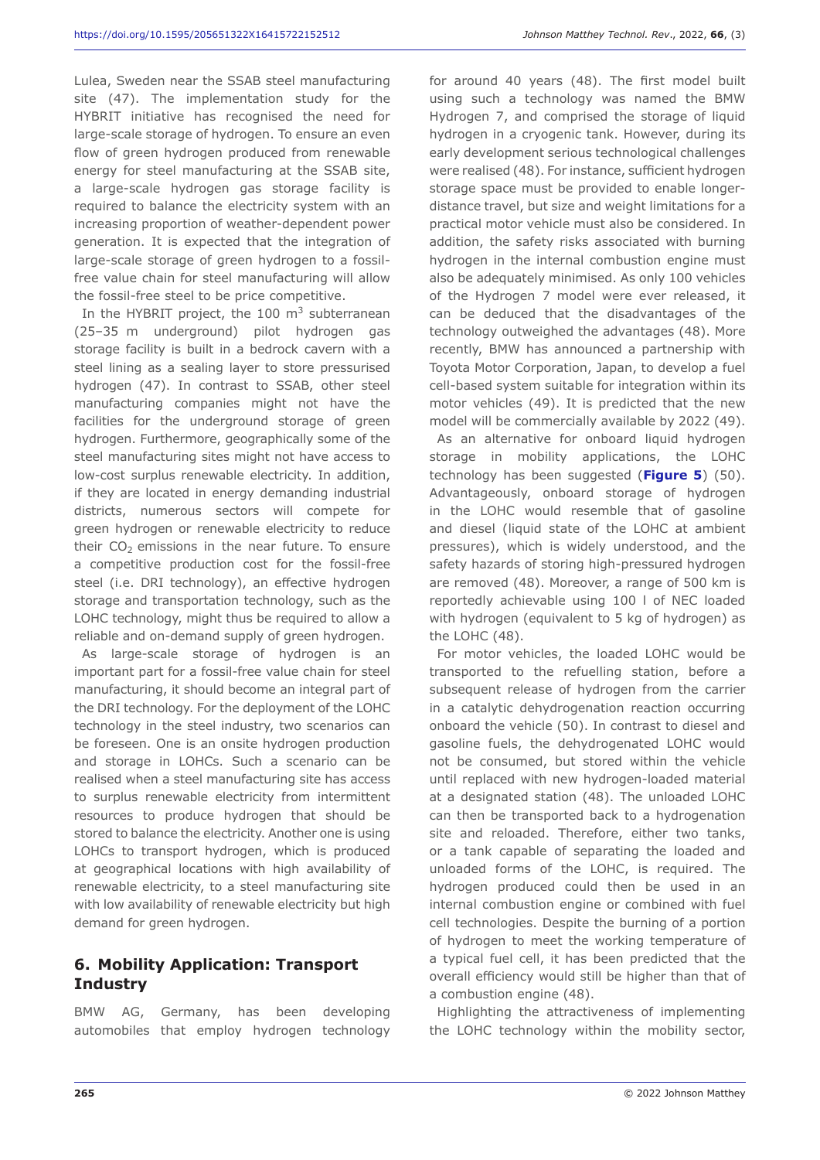Lulea, Sweden near the SSAB steel manufacturing site (47). The implementation study for the HYBRIT initiative has recognised the need for large-scale storage of hydrogen. To ensure an even flow of green hydrogen produced from renewable energy for steel manufacturing at the SSAB site, a large-scale hydrogen gas storage facility is required to balance the electricity system with an increasing proportion of weather-dependent power generation. It is expected that the integration of large-scale storage of green hydrogen to a fossilfree value chain for steel manufacturing will allow the fossil-free steel to be price competitive.

In the HYBRIT project, the 100  $m<sup>3</sup>$  subterranean (25–35 m underground) pilot hydrogen gas storage facility is built in a bedrock cavern with a steel lining as a sealing layer to store pressurised hydrogen (47). In contrast to SSAB, other steel manufacturing companies might not have the facilities for the underground storage of green hydrogen. Furthermore, geographically some of the steel manufacturing sites might not have access to low-cost surplus renewable electricity. In addition, if they are located in energy demanding industrial districts, numerous sectors will compete for green hydrogen or renewable electricity to reduce their  $CO<sub>2</sub>$  emissions in the near future. To ensure a competitive production cost for the fossil-free steel (i.e. DRI technology), an effective hydrogen storage and transportation technology, such as the LOHC technology, might thus be required to allow a reliable and on-demand supply of green hydrogen.

As large-scale storage of hydrogen is an important part for a fossil-free value chain for steel manufacturing, it should become an integral part of the DRI technology. For the deployment of the LOHC technology in the steel industry, two scenarios can be foreseen. One is an onsite hydrogen production and storage in LOHCs. Such a scenario can be realised when a steel manufacturing site has access to surplus renewable electricity from intermittent resources to produce hydrogen that should be stored to balance the electricity. Another one is using LOHCs to transport hydrogen, which is produced at geographical locations with high availability of renewable electricity, to a steel manufacturing site with low availability of renewable electricity but high demand for green hydrogen.

### **6. Mobility Application: Transport Industry**

BMW AG, Germany, has been developing automobiles that employ hydrogen technology for around 40 years (48). The first model built using such a technology was named the BMW Hydrogen 7, and comprised the storage of liquid hydrogen in a cryogenic tank. However, during its early development serious technological challenges were realised (48). For instance, sufficient hydrogen storage space must be provided to enable longerdistance travel, but size and weight limitations for a practical motor vehicle must also be considered. In addition, the safety risks associated with burning hydrogen in the internal combustion engine must also be adequately minimised. As only 100 vehicles of the Hydrogen 7 model were ever released, it can be deduced that the disadvantages of the technology outweighed the advantages (48). More recently, BMW has announced a partnership with Toyota Motor Corporation, Japan, to develop a fuel cell-based system suitable for integration within its motor vehicles (49). It is predicted that the new model will be commercially available by 2022 (49).

As an alternative for onboard liquid hydrogen storage in mobility applications, the LOHC technology has been suggested (**Figure 5**) (50). Advantageously, onboard storage of hydrogen in the LOHC would resemble that of gasoline and diesel (liquid state of the LOHC at ambient pressures), which is widely understood, and the safety hazards of storing high-pressured hydrogen are removed (48). Moreover, a range of 500 km is reportedly achievable using 100 l of NEC loaded with hydrogen (equivalent to 5 kg of hydrogen) as the LOHC (48).

For motor vehicles, the loaded LOHC would be transported to the refuelling station, before a subsequent release of hydrogen from the carrier in a catalytic dehydrogenation reaction occurring onboard the vehicle (50). In contrast to diesel and gasoline fuels, the dehydrogenated LOHC would not be consumed, but stored within the vehicle until replaced with new hydrogen-loaded material at a designated station (48). The unloaded LOHC can then be transported back to a hydrogenation site and reloaded. Therefore, either two tanks, or a tank capable of separating the loaded and unloaded forms of the LOHC, is required. The hydrogen produced could then be used in an internal combustion engine or combined with fuel cell technologies. Despite the burning of a portion of hydrogen to meet the working temperature of a typical fuel cell, it has been predicted that the overall efficiency would still be higher than that of a combustion engine (48).

Highlighting the attractiveness of implementing the LOHC technology within the mobility sector,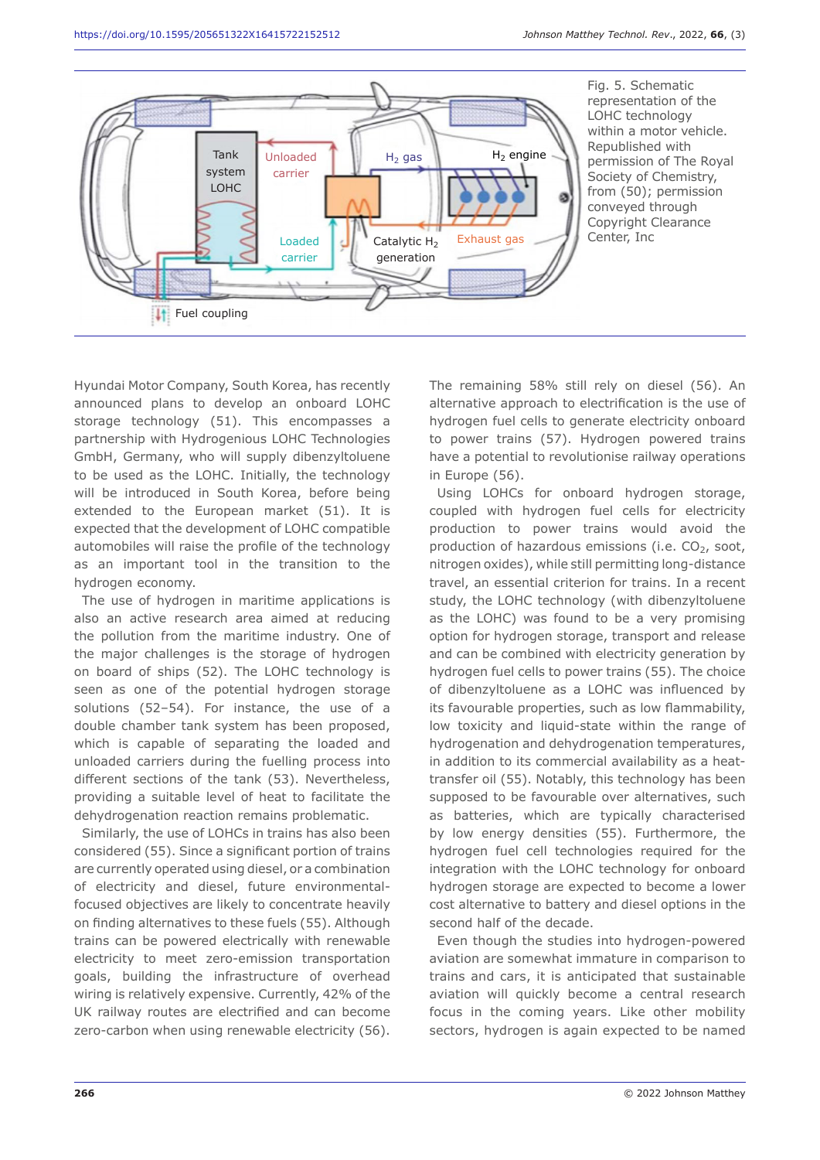

Hyundai Motor Company, South Korea, has recently announced plans to develop an onboard LOHC storage technology (51). This encompasses a partnership with Hydrogenious LOHC Technologies GmbH, Germany, who will supply dibenzyltoluene to be used as the LOHC. Initially, the technology will be introduced in South Korea, before being extended to the European market (51). It is expected that the development of LOHC compatible automobiles will raise the profile of the technology as an important tool in the transition to the hydrogen economy.

The use of hydrogen in maritime applications is also an active research area aimed at reducing the pollution from the maritime industry. One of the major challenges is the storage of hydrogen on board of ships (52). The LOHC technology is seen as one of the potential hydrogen storage solutions (52–54). For instance, the use of a double chamber tank system has been proposed, which is capable of separating the loaded and unloaded carriers during the fuelling process into different sections of the tank (53). Nevertheless, providing a suitable level of heat to facilitate the dehydrogenation reaction remains problematic.

Similarly, the use of LOHCs in trains has also been considered (55). Since a significant portion of trains are currently operated using diesel, or a combination of electricity and diesel, future environmentalfocused objectives are likely to concentrate heavily on finding alternatives to these fuels (55). Although trains can be powered electrically with renewable electricity to meet zero-emission transportation goals, building the infrastructure of overhead wiring is relatively expensive. Currently, 42% of the UK railway routes are electrified and can become zero-carbon when using renewable electricity (56).

The remaining 58% still rely on diesel (56). An alternative approach to electrification is the use of hydrogen fuel cells to generate electricity onboard to power trains (57). Hydrogen powered trains have a potential to revolutionise railway operations in Europe (56).

Using LOHCs for onboard hydrogen storage, coupled with hydrogen fuel cells for electricity production to power trains would avoid the production of hazardous emissions (i.e.  $CO<sub>2</sub>$ , soot, nitrogen oxides), while still permitting long-distance travel, an essential criterion for trains. In a recent study, the LOHC technology (with dibenzyltoluene as the LOHC) was found to be a very promising option for hydrogen storage, transport and release and can be combined with electricity generation by hydrogen fuel cells to power trains (55). The choice of dibenzyltoluene as a LOHC was influenced by its favourable properties, such as low flammability, low toxicity and liquid-state within the range of hydrogenation and dehydrogenation temperatures, in addition to its commercial availability as a heattransfer oil (55). Notably, this technology has been supposed to be favourable over alternatives, such as batteries, which are typically characterised by low energy densities (55). Furthermore, the hydrogen fuel cell technologies required for the integration with the LOHC technology for onboard hydrogen storage are expected to become a lower cost alternative to battery and diesel options in the second half of the decade.

Even though the studies into hydrogen-powered aviation are somewhat immature in comparison to trains and cars, it is anticipated that sustainable aviation will quickly become a central research focus in the coming years. Like other mobility sectors, hydrogen is again expected to be named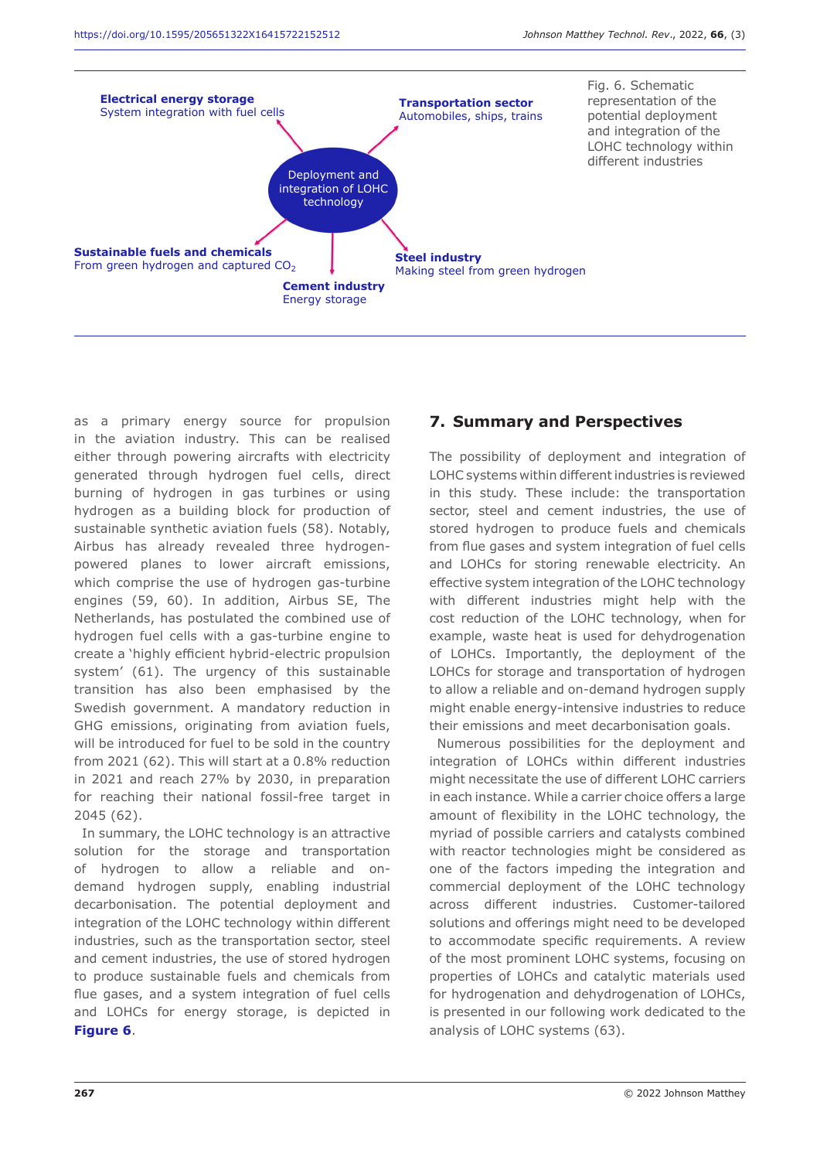

as a primary energy source for propulsion in the aviation industry. This can be realised either through powering aircrafts with electricity generated through hydrogen fuel cells, direct burning of hydrogen in gas turbines or using hydrogen as a building block for production of sustainable synthetic aviation fuels (58). Notably, Airbus has already revealed three hydrogenpowered planes to lower aircraft emissions, which comprise the use of hydrogen gas-turbine engines (59, 60). In addition, Airbus SE, The Netherlands, has postulated the combined use of hydrogen fuel cells with a gas-turbine engine to create a 'highly efficient hybrid-electric propulsion system' (61). The urgency of this sustainable transition has also been emphasised by the Swedish government. A mandatory reduction in GHG emissions, originating from aviation fuels, will be introduced for fuel to be sold in the country from 2021 (62). This will start at a 0.8% reduction in 2021 and reach 27% by 2030, in preparation for reaching their national fossil-free target in 2045 (62).

In summary, the LOHC technology is an attractive solution for the storage and transportation of hydrogen to allow a reliable and ondemand hydrogen supply, enabling industrial decarbonisation. The potential deployment and integration of the LOHC technology within different industries, such as the transportation sector, steel and cement industries, the use of stored hydrogen to produce sustainable fuels and chemicals from flue gases, and a system integration of fuel cells and LOHCs for energy storage, is depicted in **Figure 6**.

### **7. Summary and Perspectives**

The possibility of deployment and integration of LOHC systems within different industries is reviewed in this study. These include: the transportation sector, steel and cement industries, the use of stored hydrogen to produce fuels and chemicals from flue gases and system integration of fuel cells and LOHCs for storing renewable electricity. An effective system integration of the LOHC technology with different industries might help with the cost reduction of the LOHC technology, when for example, waste heat is used for dehydrogenation of LOHCs. Importantly, the deployment of the LOHCs for storage and transportation of hydrogen to allow a reliable and on-demand hydrogen supply might enable energy-intensive industries to reduce their emissions and meet decarbonisation goals.

Numerous possibilities for the deployment and integration of LOHCs within different industries might necessitate the use of different LOHC carriers in each instance. While a carrier choice offers a large amount of flexibility in the LOHC technology, the myriad of possible carriers and catalysts combined with reactor technologies might be considered as one of the factors impeding the integration and commercial deployment of the LOHC technology across different industries. Customer-tailored solutions and offerings might need to be developed to accommodate specific requirements. A review of the most prominent LOHC systems, focusing on properties of LOHCs and catalytic materials used for hydrogenation and dehydrogenation of LOHCs, is presented in our following work dedicated to the analysis of LOHC systems (63).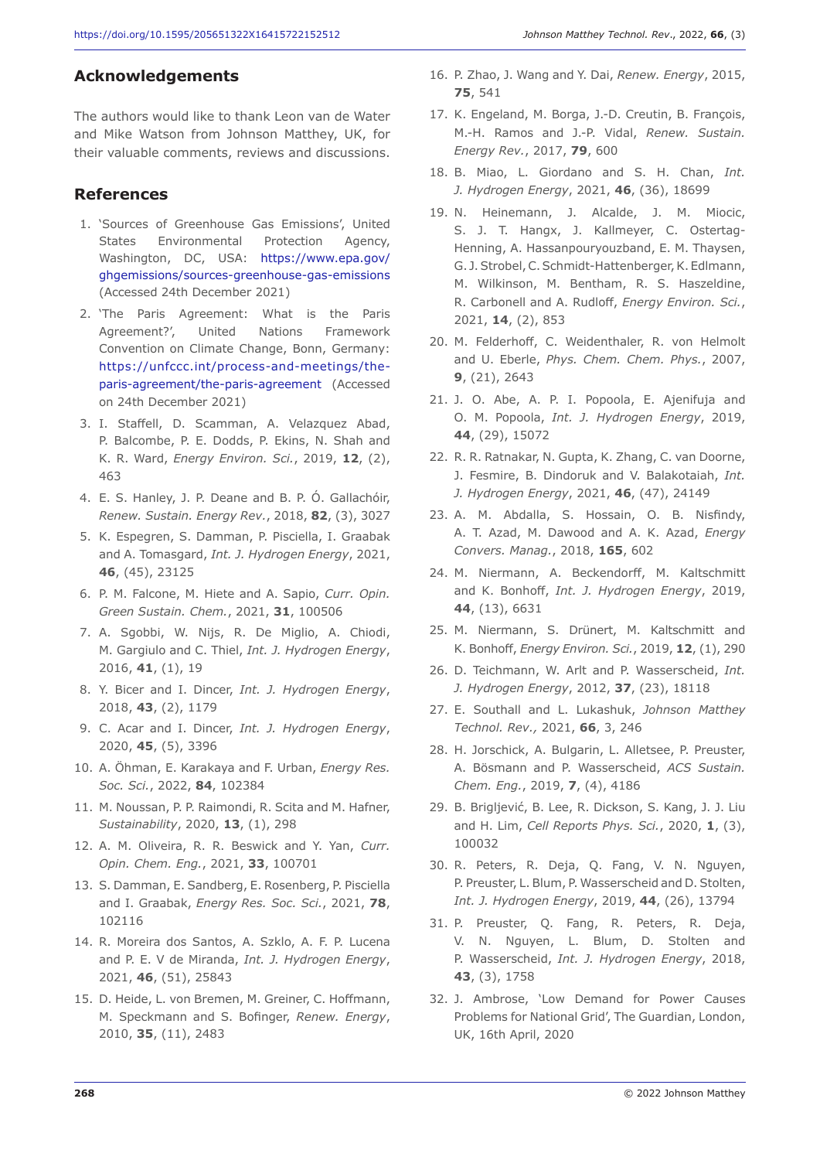#### **Acknowledgements**

The authors would like to thank Leon van de Water and Mike Watson from Johnson Matthey, UK, for their valuable comments, reviews and discussions.

#### **References**

- 1. 'Sources of Greenhouse Gas Emissions', United States Environmental Protection Agency, Washington, DC, USA: https://www.epa.gov/ ghgemissions/sources-greenhouse-gas-emissions (Accessed 24th December 2021)
- 2. 'The Paris Agreement: What is the Paris Agreement?', United Nations Framework Convention on Climate Change, Bonn, Germany: https://unfccc.int/process-and-meetings/theparis-agreement/the-paris-agreement (Accessed on 24th December 2021)
- 3. I. Staffell, D. Scamman, A. Velazquez Abad, P. Balcombe, P. E. Dodds, P. Ekins, N. Shah and K. R. Ward, *Energy Environ. Sci.*, 2019, **12**, (2), 463
- 4. E. S. Hanley, J. P. Deane and B. P. Ó. Gallachóir, *Renew. Sustain. Energy Rev.*, 2018, **82**, (3), 3027
- 5. K. Espegren, S. Damman, P. Pisciella, I. Graabak and A. Tomasgard, *Int. J. Hydrogen Energy*, 2021, **46**, (45), 23125
- 6. P. M. Falcone, M. Hiete and A. Sapio, *Curr. Opin. Green Sustain. Chem.*, 2021, **31**, 100506
- 7. A. Sgobbi, W. Nijs, R. De Miglio, A. Chiodi, M. Gargiulo and C. Thiel, *Int. J. Hydrogen Energy*, 2016, **41**, (1), 19
- 8. Y. Bicer and I. Dincer, *Int. J. Hydrogen Energy*, 2018, **43**, (2), 1179
- 9. C. Acar and I. Dincer, *Int. J. Hydrogen Energy*, 2020, **45**, (5), 3396
- 10. A. Öhman, E. Karakaya and F. Urban, *Energy Res. Soc. Sci.*, 2022, **84**, 102384
- 11. M. Noussan, P. P. Raimondi, R. Scita and M. Hafner, *Sustainability*, 2020, **13**, (1), 298
- 12. A. M. Oliveira, R. R. Beswick and Y. Yan, *Curr. Opin. Chem. Eng.*, 2021, **33**, 100701
- 13. S. Damman, E. Sandberg, E. Rosenberg, P. Pisciella and I. Graabak, *Energy Res. Soc. Sci.*, 2021, **78**, 102116
- 14. R. Moreira dos Santos, A. Szklo, A. F. P. Lucena and P. E. V de Miranda, *Int. J. Hydrogen Energy*, 2021, **46**, (51), 25843
- 15. D. Heide, L. von Bremen, M. Greiner, C. Hoffmann, M. Speckmann and S. Bofinger, *Renew. Energy*, 2010, **35**, (11), 2483
- 16. P. Zhao, J. Wang and Y. Dai, *Renew. Energy*, 2015, **75**, 541
- 17. K. Engeland, M. Borga, J.-D. Creutin, B. François, M.-H. Ramos and J.-P. Vidal, *Renew. Sustain. Energy Rev.*, 2017, **79**, 600
- 18. B. Miao, L. Giordano and S. H. Chan, *Int. J. Hydrogen Energy*, 2021, **46**, (36), 18699
- 19. N. Heinemann, J. Alcalde, J. M. Miocic, S. J. T. Hangx, J. Kallmeyer, C. Ostertag-Henning, A. Hassanpouryouzband, E. M. Thaysen, G. J.Strobel, C.Schmidt-Hattenberger, K.Edlmann, M. Wilkinson, M. Bentham, R. S. Haszeldine, R. Carbonell and A. Rudloff, *Energy Environ. Sci.*, 2021, **14**, (2), 853
- 20. M. Felderhoff, C. Weidenthaler, R. von Helmolt and U. Eberle, *Phys. Chem. Chem. Phys.*, 2007, **9**, (21), 2643
- 21. J. O. Abe, A. P. I. Popoola, E. Ajenifuja and O. M. Popoola, *Int. J. Hydrogen Energy*, 2019, **44**, (29), 15072
- 22. R. R. Ratnakar, N. Gupta, K. Zhang, C. van Doorne, J. Fesmire, B. Dindoruk and V. Balakotaiah, *Int. J. Hydrogen Energy*, 2021, **46**, (47), 24149
- 23. A. M. Abdalla, S. Hossain, O. B. Nisfindy, A. T. Azad, M. Dawood and A. K. Azad, *Energy Convers. Manag.*, 2018, **165**, 602
- 24. M. Niermann, A. Beckendorff, M. Kaltschmitt and K. Bonhoff, *Int. J. Hydrogen Energy*, 2019, **44**, (13), 6631
- 25. M. Niermann, S. Drünert, M. Kaltschmitt and K. Bonhoff, *Energy Environ. Sci.*, 2019, **12**, (1), 290
- 26. D. Teichmann, W. Arlt and P. Wasserscheid, *Int. J. Hydrogen Energy*, 2012, **37**, (23), 18118
- 27. E. Southall and L. Lukashuk, *Johnson Matthey Technol. Rev.,* 2021, **66**, 3, 246
- 28. H. Jorschick, A. Bulgarin, L. Alletsee, P. Preuster, A. Bösmann and P. Wasserscheid, *ACS Sustain. Chem. Eng.*, 2019, **7**, (4), 4186
- 29. B. Brigljević, B. Lee, R. Dickson, S. Kang, J. J. Liu and H. Lim, *Cell Reports Phys. Sci.*, 2020, **1**, (3), 100032
- 30. R. Peters, R. Deja, Q. Fang, V. N. Nguyen, P. Preuster, L. Blum, P. Wasserscheid and D. Stolten, *Int. J. Hydrogen Energy*, 2019, **44**, (26), 13794
- 31. P. Preuster, Q. Fang, R. Peters, R. Deja, V. N. Nguyen, L. Blum, D. Stolten and P. Wasserscheid, *Int. J. Hydrogen Energy*, 2018, **43**, (3), 1758
- 32. J. Ambrose, 'Low Demand for Power Causes Problems for National Grid', The Guardian, London, UK, 16th April, 2020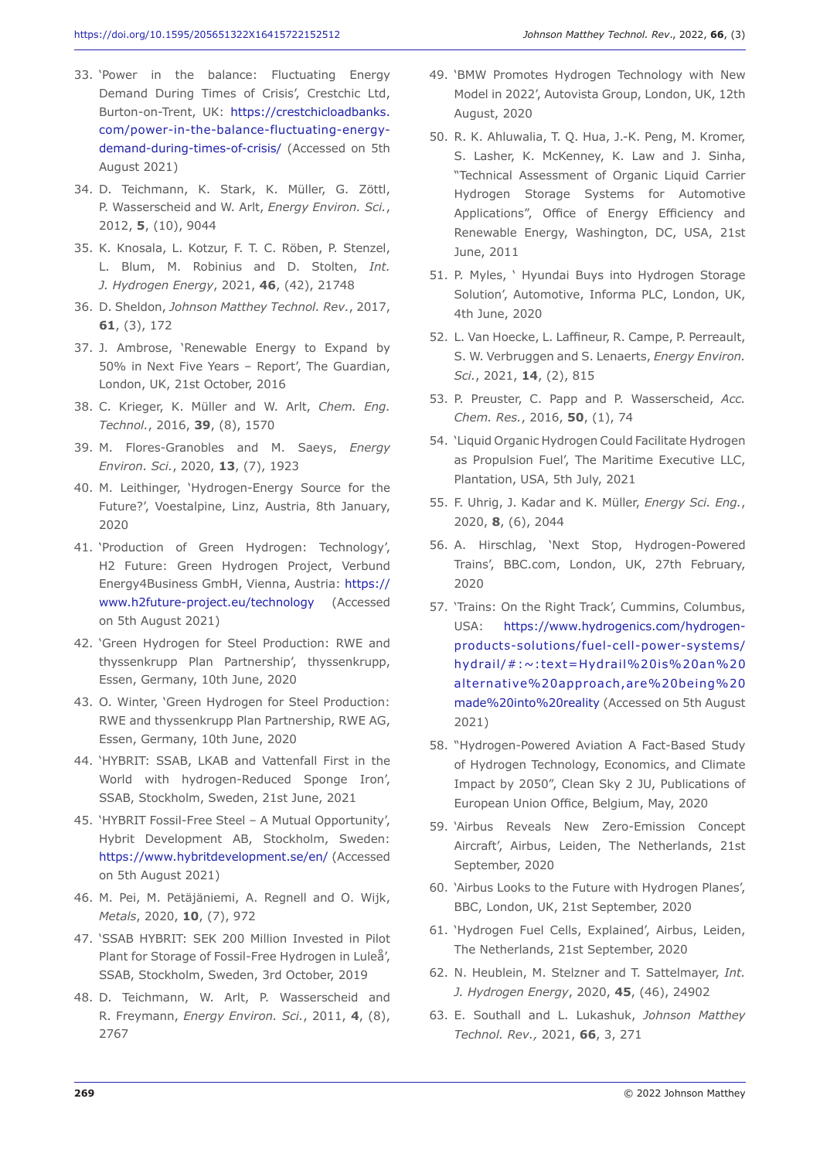- 33. 'Power in the balance: Fluctuating Energy Demand During Times of Crisis', Crestchic Ltd, Burton-on-Trent, UK: https://crestchicloadbanks. com/power-in-the-balance-fluctuating-energydemand-during-times-of-crisis/ (Accessed on 5th August 2021)
- 34. D. Teichmann, K. Stark, K. Müller, G. Zöttl, P. Wasserscheid and W. Arlt, *Energy Environ. Sci.*, 2012, **5**, (10), 9044
- 35. K. Knosala, L. Kotzur, F. T. C. Röben, P. Stenzel, L. Blum, M. Robinius and D. Stolten, *Int. J. Hydrogen Energy*, 2021, **46**, (42), 21748
- 36. D. Sheldon, *Johnson Matthey Technol. Rev.*, 2017, **61**, (3), 172
- 37. J. Ambrose, 'Renewable Energy to Expand by 50% in Next Five Years – Report', The Guardian, London, UK, 21st October, 2016
- 38. C. Krieger, K. Müller and W. Arlt, *Chem. Eng. Technol.*, 2016, **39**, (8), 1570
- 39. M. Flores-Granobles and M. Saeys, *Energy Environ. Sci.*, 2020, **13**, (7), 1923
- 40. M. Leithinger, 'Hydrogen-Energy Source for the Future?', Voestalpine, Linz, Austria, 8th January, 2020
- 41. 'Production of Green Hydrogen: Technology', H2 Future: Green Hydrogen Project, Verbund Energy4Business GmbH, Vienna, Austria: https:// www.h2future-project.eu/technology (Accessed on 5th August 2021)
- 42. 'Green Hydrogen for Steel Production: RWE and thyssenkrupp Plan Partnership', thyssenkrupp, Essen, Germany, 10th June, 2020
- 43. O. Winter, 'Green Hydrogen for Steel Production: RWE and thyssenkrupp Plan Partnership, RWE AG, Essen, Germany, 10th June, 2020
- 44. 'HYBRIT: SSAB, LKAB and Vattenfall First in the World with hydrogen-Reduced Sponge Iron', SSAB, Stockholm, Sweden, 21st June, 2021
- 45. 'HYBRIT Fossil-Free Steel A Mutual Opportunity', Hybrit Development AB, Stockholm, Sweden: https://www.hybritdevelopment.se/en/ (Accessed on 5th August 2021)
- 46. M. Pei, M. Petäjäniemi, A. Regnell and O. Wijk, *Metals*, 2020, **10**, (7), 972
- 47. 'SSAB HYBRIT: SEK 200 Million Invested in Pilot Plant for Storage of Fossil-Free Hydrogen in Luleå', SSAB, Stockholm, Sweden, 3rd October, 2019
- 48. D. Teichmann, W. Arlt, P. Wasserscheid and R. Freymann, *Energy Environ. Sci.*, 2011, **4**, (8), 2767
- 49. 'BMW Promotes Hydrogen Technology with New Model in 2022', Autovista Group, London, UK, 12th August, 2020
- 50. R. K. Ahluwalia, T. Q. Hua, J.-K. Peng, M. Kromer, S. Lasher, K. McKenney, K. Law and J. Sinha, "Technical Assessment of Organic Liquid Carrier Hydrogen Storage Systems for Automotive Applications", Office of Energy Efficiency and Renewable Energy, Washington, DC, USA, 21st June, 2011
- 51. P. Myles, ' Hyundai Buys into Hydrogen Storage Solution', Automotive, Informa PLC, London, UK, 4th June, 2020
- 52. L. Van Hoecke, L. Laffineur, R. Campe, P. Perreault, S. W. Verbruggen and S. Lenaerts, *Energy Environ. Sci.*, 2021, **14**, (2), 815
- 53. P. Preuster, C. Papp and P. Wasserscheid, *Acc. Chem. Res.*, 2016, **50**, (1), 74
- 54. 'Liquid Organic Hydrogen Could Facilitate Hydrogen as Propulsion Fuel', The Maritime Executive LLC, Plantation, USA, 5th July, 2021
- 55. F. Uhrig, J. Kadar and K. Müller, *Energy Sci. Eng.*, 2020, **8**, (6), 2044
- 56. A. Hirschlag, 'Next Stop, Hydrogen-Powered Trains', BBC.com, London, UK, 27th February, 2020
- 57. 'Trains: On the Right Track', Cummins, Columbus, USA: https://www.hydrogenics.com/hydrogenproducts-solutions/fuel-cell-power-systems/ hydrail/#:~:text=Hydrail%20is%20an%20 alternative%20approach,are%20being%20 made%20into%20reality (Accessed on 5th August 2021)
- 58. "Hydrogen-Powered Aviation A Fact-Based Study of Hydrogen Technology, Economics, and Climate Impact by 2050", Clean Sky 2 JU, Publications of European Union Office, Belgium, May, 2020
- 59. 'Airbus Reveals New Zero-Emission Concept Aircraft', Airbus, Leiden, The Netherlands, 21st September, 2020
- 60. 'Airbus Looks to the Future with Hydrogen Planes', BBC, London, UK, 21st September, 2020
- 61. 'Hydrogen Fuel Cells, Explained', Airbus, Leiden, The Netherlands, 21st September, 2020
- 62. N. Heublein, M. Stelzner and T. Sattelmayer, *Int. J. Hydrogen Energy*, 2020, **45**, (46), 24902
- 63. E. Southall and L. Lukashuk, *Johnson Matthey Technol. Rev.,* 2021, **66**, 3, 271